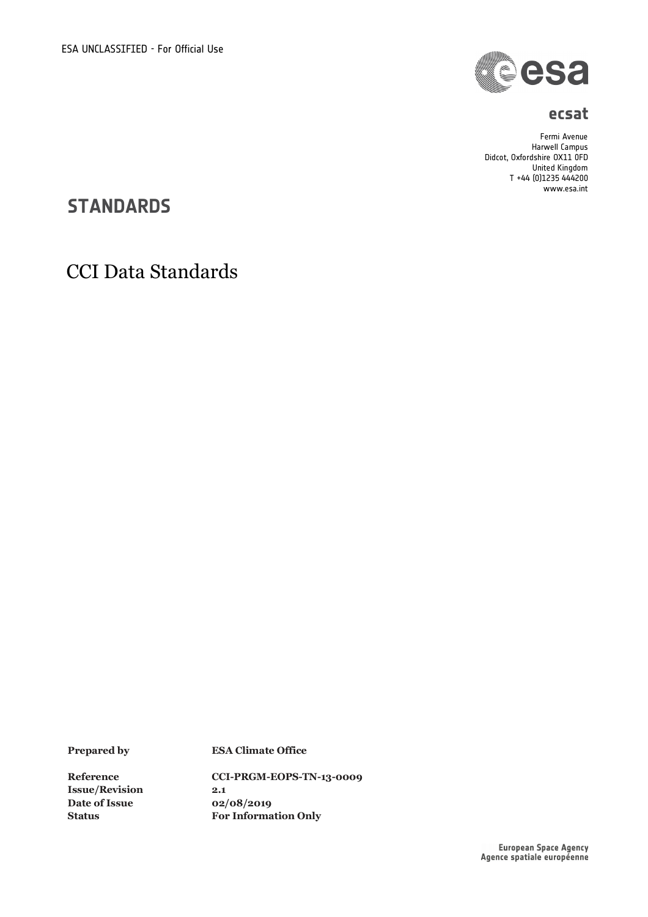

#### **ecsat**

Fermi Avenue Harwell Campus Didcot, Oxfordshire OX11 0FD United Kingdom T +44 (0)1235 444200 www.esa.int

## **STANDARDS**

## CCI Data Standards

**Issue/Revision 2.1 Date of Issue 02/08/2019**

**Prepared by ESA Climate Office**

**Reference CCI-PRGM-EOPS-TN-13-0009 Status For Information Only**

European Space Agency<br>Agence spatiale européenne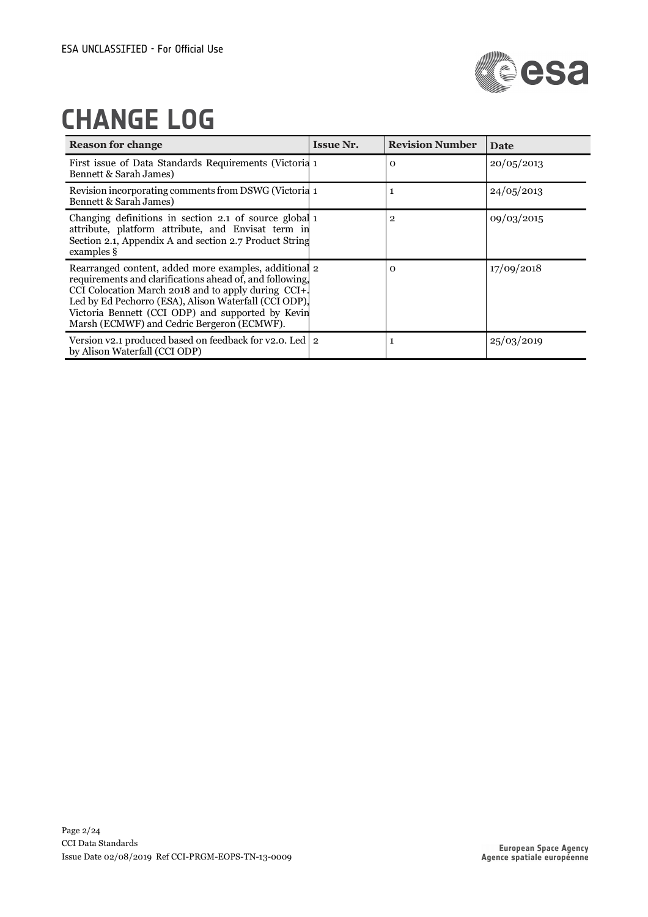

# **CHANGE LOG**

| <b>Reason for change</b>                                                                                                                                                                                                                                                                                                             | <b>Issue Nr.</b> | <b>Revision Number</b> | <b>Date</b> |
|--------------------------------------------------------------------------------------------------------------------------------------------------------------------------------------------------------------------------------------------------------------------------------------------------------------------------------------|------------------|------------------------|-------------|
| First issue of Data Standards Requirements (Victoria 1<br>Bennett & Sarah James)                                                                                                                                                                                                                                                     |                  | $\mathbf 0$            | 20/05/2013  |
| Revision incorporating comments from DSWG (Victoria 1<br>Bennett & Sarah James)                                                                                                                                                                                                                                                      |                  | 1                      | 24/05/2013  |
| Changing definitions in section 2.1 of source global 1<br>attribute, platform attribute, and Envisat term in<br>Section 2.1, Appendix A and section 2.7 Product String<br>examples §                                                                                                                                                 |                  | $\overline{2}$         | 09/03/2015  |
| Rearranged content, added more examples, additional 2<br>requirements and clarifications ahead of, and following,<br>CCI Colocation March 2018 and to apply during CCI+.<br>Led by Ed Pechorro (ESA), Alison Waterfall (CCI ODP),<br>Victoria Bennett (CCI ODP) and supported by Kevin<br>Marsh (ECMWF) and Cedric Bergeron (ECMWF). |                  | $\Omega$               | 17/09/2018  |
| Version $v_2$ , produced based on feedback for $v_2$ , 0. Led 2<br>by Alison Waterfall (CCI ODP)                                                                                                                                                                                                                                     |                  | 1                      | 25/03/2019  |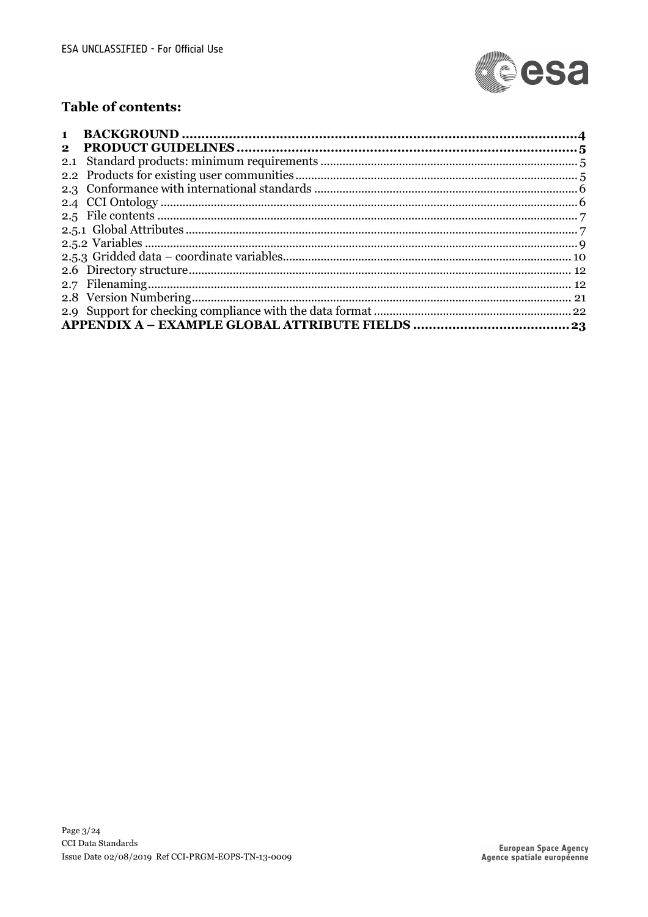

## Table of contents:

| $\mathbf{1}$ |  |
|--------------|--|
| $\mathbf{2}$ |  |
|              |  |
|              |  |
|              |  |
|              |  |
|              |  |
|              |  |
|              |  |
|              |  |
|              |  |
|              |  |
|              |  |
|              |  |
|              |  |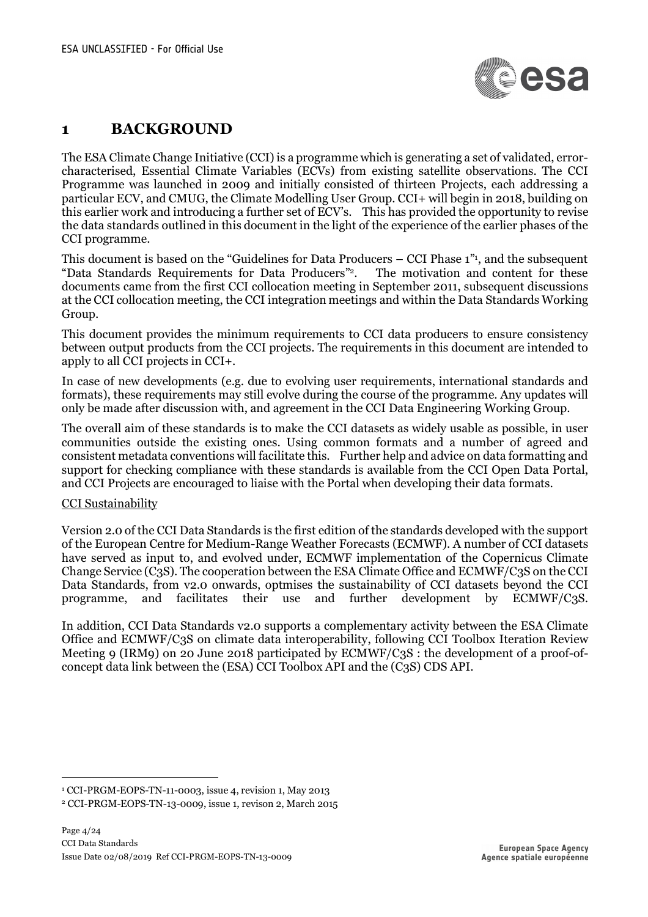

## **1 BACKGROUND**

The ESA Climate Change Initiative (CCI) is a programme which is generating a set of validated, errorcharacterised, Essential Climate Variables (ECVs) from existing satellite observations. The CCI Programme was launched in 2009 and initially consisted of thirteen Projects, each addressing a particular ECV, and CMUG, the Climate Modelling User Group. CCI+ will begin in 2018, building on this earlier work and introducing a further set of ECV's. This has provided the opportunity to revise the data standards outlined in this document in the light of the experience of the earlier phases of the CCI programme.

This document is based on the "Guidelines for Data Producers – CCI Phase 1"1 , and the subsequent "Data Standards Requirements for Data Producers"2. The motivation and content for these documents came from the first CCI collocation meeting in September 2011, subsequent discussions at the CCI collocation meeting, the CCI integration meetings and within the Data Standards Working Group.

This document provides the minimum requirements to CCI data producers to ensure consistency between output products from the CCI projects. The requirements in this document are intended to apply to all CCI projects in CCI+.

In case of new developments (e.g. due to evolving user requirements, international standards and formats), these requirements may still evolve during the course of the programme. Any updates will only be made after discussion with, and agreement in the CCI Data Engineering Working Group.

The overall aim of these standards is to make the CCI datasets as widely usable as possible, in user communities outside the existing ones. Using common formats and a number of agreed and consistent metadata conventions will facilitate this. Further help and advice on data formatting and support for checking compliance with these standards is available from the CCI Open Data Portal, and CCI Projects are encouraged to liaise with the Portal when developing their data formats.

#### CCI Sustainability

Version 2.0 of the CCI Data Standards is the first edition of the standards developed with the support of the European Centre for Medium-Range Weather Forecasts (ECMWF). A number of CCI datasets have served as input to, and evolved under, ECMWF implementation of the Copernicus Climate Change Service (C3S). The cooperation between the ESA Climate Office and ECMWF/C3S on the CCI Data Standards, from v2.0 onwards, optmises the sustainability of CCI datasets beyond the CCI programme, and facilitates their use and further development by ECMWF/C3S.

In addition, CCI Data Standards v2.0 supports a complementary activity between the ESA Climate Office and ECMWF/C3S on climate data interoperability, following CCI Toolbox Iteration Review Meeting 9 (IRM9) on 20 June 2018 participated by ECMWF/C3S : the development of a proof-ofconcept data link between the (ESA) CCI Toolbox API and the (C3S) CDS API.

 <sup>1</sup> CCI-PRGM-EOPS-TN-11-0003, issue 4, revision 1, May 2013

<sup>2</sup> CCI-PRGM-EOPS-TN-13-0009, issue 1, revison 2, March 2015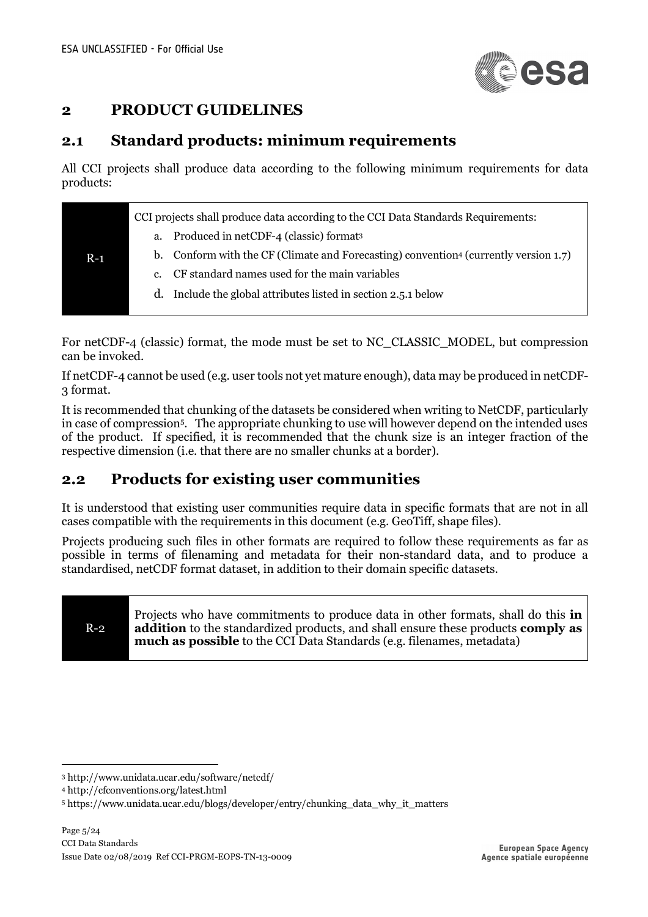

## **2 PRODUCT GUIDELINES**

## **2.1 Standard products: minimum requirements**

All CCI projects shall produce data according to the following minimum requirements for data products:

|       | CCI projects shall produce data according to the CCI Data Standards Requirements:                |
|-------|--------------------------------------------------------------------------------------------------|
|       | Produced in netCDF-4 (classic) format <sup>3</sup><br>a.                                         |
| $R-1$ | b. Conform with the CF (Climate and Forecasting) convention <sup>4</sup> (currently version 1.7) |
|       | CF standard names used for the main variables<br>$c_{\cdot}$                                     |
|       | Include the global attributes listed in section 2.5.1 below<br>d.                                |
|       |                                                                                                  |

For netCDF-4 (classic) format, the mode must be set to NC\_CLASSIC\_MODEL, but compression can be invoked.

If netCDF-4 cannot be used (e.g. user tools not yet mature enough), data may be produced in netCDF-3 format.

It is recommended that chunking of the datasets be considered when writing to NetCDF, particularly in case of compression5. The appropriate chunking to use will however depend on the intended uses of the product. If specified, it is recommended that the chunk size is an integer fraction of the respective dimension (i.e. that there are no smaller chunks at a border).

## **2.2 Products for existing user communities**

It is understood that existing user communities require data in specific formats that are not in all cases compatible with the requirements in this document (e.g. GeoTiff, shape files).

Projects producing such files in other formats are required to follow these requirements as far as possible in terms of filenaming and metadata for their non-standard data, and to produce a standardised, netCDF format dataset, in addition to their domain specific datasets.

## R-2

Projects who have commitments to produce data in other formats, shall do this **in addition** to the standardized products, and shall ensure these products **comply as much as possible** to the CCI Data Standards (e.g. filenames, metadata)

 <sup>3</sup> http://www.unidata.ucar.edu/software/netcdf/

<sup>4</sup> http://cfconventions.org/latest.html

<sup>5</sup> https://www.unidata.ucar.edu/blogs/developer/entry/chunking\_data\_why\_it\_matters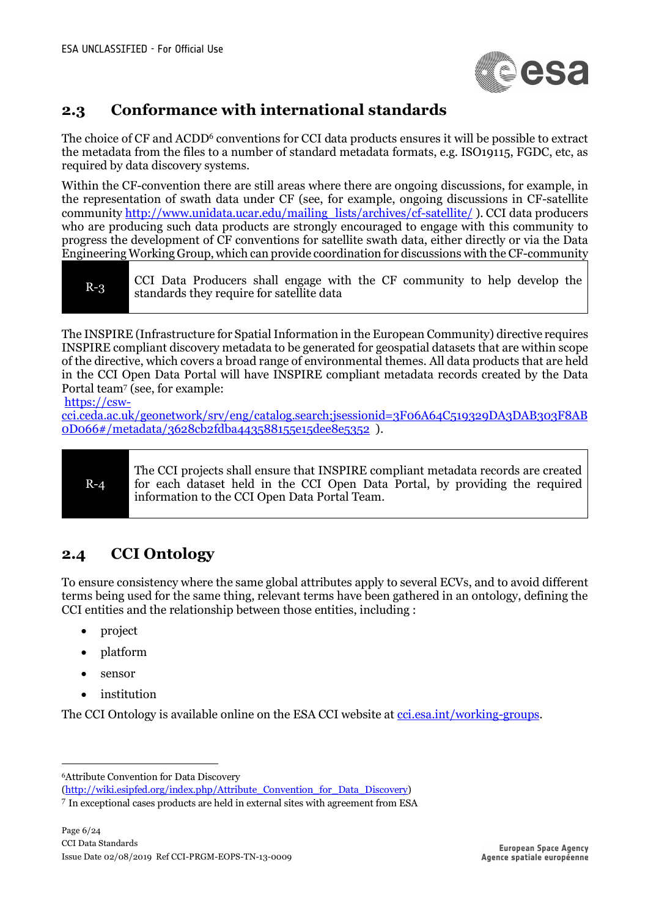

## **2.3 Conformance with international standards**

The choice of CF and ACDD<sup>6</sup> conventions for CCI data products ensures it will be possible to extract the metadata from the files to a number of standard metadata formats, e.g. ISO19115, FGDC, etc, as required by data discovery systems.

Within the CF-convention there are still areas where there are ongoing discussions, for example, in the representation of swath data under CF (see, for example, ongoing discussions in CF-satellite community http://www.unidata.ucar.edu/mailing\_lists/archives/cf-satellite/ ). CCI data producers who are producing such data products are strongly encouraged to engage with this community to progress the development of CF conventions for satellite swath data, either directly or via the Data Engineering Working Group, which can provide coordination for discussions with the CF-community

| $R-3$ |  | standards they require for satellite data |  |  |  |  |  | CCI Data Producers shall engage with the CF community to help develop the |  |  |  |  |
|-------|--|-------------------------------------------|--|--|--|--|--|---------------------------------------------------------------------------|--|--|--|--|
|-------|--|-------------------------------------------|--|--|--|--|--|---------------------------------------------------------------------------|--|--|--|--|

The INSPIRE (Infrastructure for Spatial Information in the European Community) directive requires INSPIRE compliant discovery metadata to be generated for geospatial datasets that are within scope of the directive, which covers a broad range of environmental themes. All data products that are held in the CCI Open Data Portal will have INSPIRE compliant metadata records created by the Data Portal team7 (see, for example:

https://csw-

cci.ceda.ac.uk/geonetwork/srv/eng/catalog.search;jsessionid=3F06A64C519329DA3DAB303F8AB 0D066#/metadata/3628cb2fdba443588155e15dee8e5352 ).

#### R-4

The CCI projects shall ensure that INSPIRE compliant metadata records are created for each dataset held in the CCI Open Data Portal, by providing the required information to the CCI Open Data Portal Team.

## **2.4 CCI Ontology**

To ensure consistency where the same global attributes apply to several ECVs, and to avoid different terms being used for the same thing, relevant terms have been gathered in an ontology, defining the CCI entities and the relationship between those entities, including :

- project
- platform
- sensor
- institution

The CCI Ontology is available online on the ESA CCI website at cci.esa.int/working-groups.

6Attribute Convention for Data Discovery

<sup>(</sup>http://wiki.esipfed.org/index.php/Attribute\_Convention\_for\_Data\_Discovery)

<sup>7</sup> In exceptional cases products are held in external sites with agreement from ESA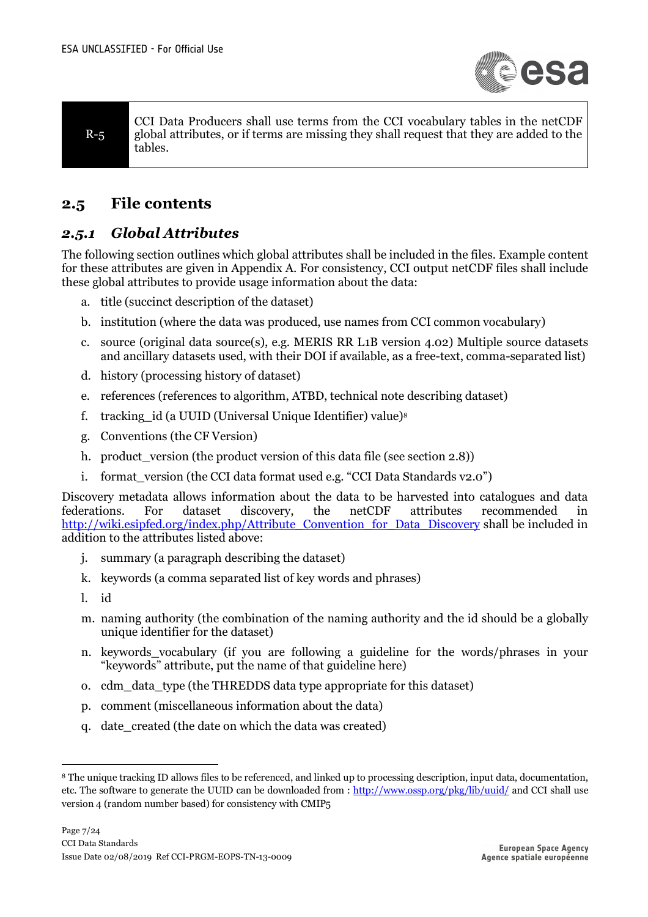

R-5 CCI Data Producers shall use terms from the CCI vocabulary tables in the netCDF global attributes, or if terms are missing they shall request that they are added to the tables.

## **2.5 File contents**

### *2.5.1 Global Attributes*

The following section outlines which global attributes shall be included in the files. Example content for these attributes are given in Appendix A. For consistency, CCI output netCDF files shall include these global attributes to provide usage information about the data:

- a. title (succinct description of the dataset)
- b. institution (where the data was produced, use names from CCI common vocabulary)
- c. source (original data source(s), e.g. MERIS RR L1B version 4.02) Multiple source datasets and ancillary datasets used, with their DOI if available, as a free-text, comma-separated list)
- d. history (processing history of dataset)
- e. references (references to algorithm, ATBD, technical note describing dataset)
- f. tracking id (a UUID (Universal Unique Identifier) value)<sup>8</sup>
- g. Conventions (the CF Version)
- h. product\_version (the product version of this data file (see section 2.8))
- i. format\_version (the CCI data format used e.g. "CCI Data Standards v2.0")

Discovery metadata allows information about the data to be harvested into catalogues and data federations. For dataset discovery, the netCDF attributes recommended in http://wiki.esipfed.org/index.php/Attribute\_Convention\_for\_Data\_Discovery shall be included in addition to the attributes listed above:

- j. summary (a paragraph describing the dataset)
- k. keywords (a comma separated list of key words and phrases)
- l. id
- m. naming authority (the combination of the naming authority and the id should be a globally unique identifier for the dataset)
- n. keywords\_vocabulary (if you are following a guideline for the words/phrases in your "keywords" attribute, put the name of that guideline here)
- o. cdm\_data\_type (the THREDDS data type appropriate for this dataset)
- p. comment (miscellaneous information about the data)
- q. date\_created (the date on which the data was created)

 <sup>8</sup> The unique tracking ID allows files to be referenced, and linked up to processing description, input data, documentation, etc. The software to generate the UUID can be downloaded from : http://www.ossp.org/pkg/lib/uuid/ and CCI shall use version 4 (random number based) for consistency with CMIP5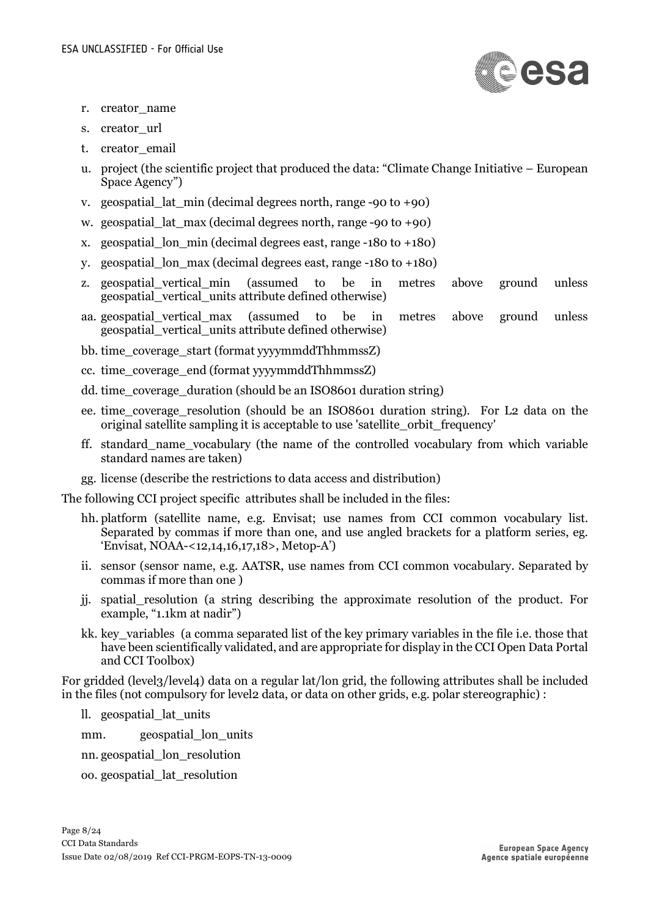

- r. creator\_name
- s. creator url
- t. creator email
- u. project (the scientific project that produced the data: "Climate Change Initiative European Space Agency")
- v. geospatial lat  $min$  (decimal degrees north, range -90 to +90)
- w. geospatial lat max (decimal degrees north, range  $-90$  to  $+90$ )
- x. geospatial\_lon\_min (decimal degrees east, range -180 to +180)
- y. geospatial\_lon\_max (decimal degrees east, range -180 to +180)
- z. geospatial\_vertical\_min (assumed to be in metres above ground unless geospatial\_vertical\_units attribute defined otherwise)
- aa. geospatial\_vertical\_max (assumed to be in metres above ground unless geospatial\_vertical\_units attribute defined otherwise)
- bb. time\_coverage\_start (format yyyymmddThhmmssZ)
- cc. time\_coverage\_end (format yyyymmddThhmmssZ)
- dd. time\_coverage\_duration (should be an ISO8601 duration string)
- ee. time\_coverage\_resolution (should be an ISO8601 duration string). For L2 data on the original satellite sampling it is acceptable to use 'satellite\_orbit\_frequency'
- ff. standard\_name\_vocabulary (the name of the controlled vocabulary from which variable standard names are taken)
- gg. license (describe the restrictions to data access and distribution)

The following CCI project specific attributes shall be included in the files:

- hh. platform (satellite name, e.g. Envisat; use names from CCI common vocabulary list. Separated by commas if more than one, and use angled brackets for a platform series, eg. 'Envisat, NOAA-<12,14,16,17,18>, Metop-A')
- ii. sensor (sensor name, e.g. AATSR, use names from CCI common vocabulary. Separated by commas if more than one )
- jj. spatial\_resolution (a string describing the approximate resolution of the product. For example, "1.1km at nadir")
- kk. key\_variables (a comma separated list of the key primary variables in the file i.e. those that have been scientifically validated, and are appropriate for display in the CCI Open Data Portal and CCI Toolbox)

For gridded (level3/level4) data on a regular lat/lon grid, the following attributes shall be included in the files (not compulsory for level2 data, or data on other grids, e.g. polar stereographic) :

- ll. geospatial\_lat\_units
- mm. geospatial lon units
- nn. geospatial\_lon\_resolution
- oo. geospatial\_lat\_resolution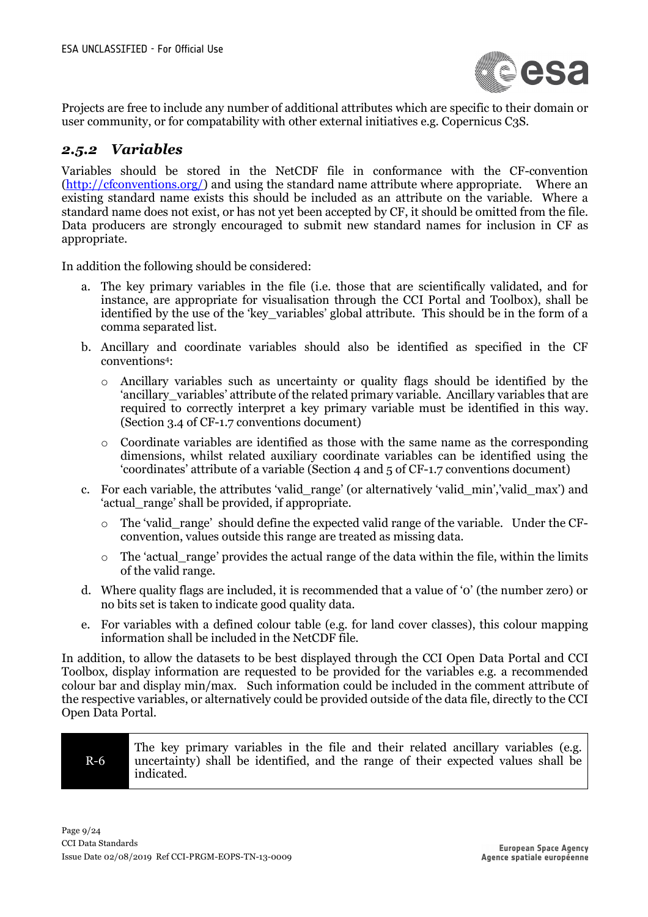

Projects are free to include any number of additional attributes which are specific to their domain or user community, or for compatability with other external initiatives e.g. Copernicus C3S.

#### *2.5.2 Variables*

Variables should be stored in the NetCDF file in conformance with the CF-convention (http://cfconventions.org/) and using the standard name attribute where appropriate. Where an existing standard name exists this should be included as an attribute on the variable. Where a standard name does not exist, or has not yet been accepted by CF, it should be omitted from the file. Data producers are strongly encouraged to submit new standard names for inclusion in CF as appropriate.

In addition the following should be considered:

- a. The key primary variables in the file (i.e. those that are scientifically validated, and for instance, are appropriate for visualisation through the CCI Portal and Toolbox), shall be identified by the use of the 'key\_variables' global attribute. This should be in the form of a comma separated list.
- b. Ancillary and coordinate variables should also be identified as specified in the CF conventions4:
	- o Ancillary variables such as uncertainty or quality flags should be identified by the 'ancillary variables' attribute of the related primary variable. Ancillary variables that are required to correctly interpret a key primary variable must be identified in this way. (Section 3.4 of CF-1.7 conventions document)
	- o Coordinate variables are identified as those with the same name as the corresponding dimensions, whilst related auxiliary coordinate variables can be identified using the 'coordinates' attribute of a variable (Section 4 and 5 of CF-1.7 conventions document)
- c. For each variable, the attributes 'valid\_range' (or alternatively 'valid\_min','valid\_max') and 'actual\_range' shall be provided, if appropriate.
	- o The 'valid\_range' should define the expected valid range of the variable. Under the CFconvention, values outside this range are treated as missing data.
	- $\circ$  The 'actual range' provides the actual range of the data within the file, within the limits of the valid range.
- d. Where quality flags are included, it is recommended that a value of '0' (the number zero) or no bits set is taken to indicate good quality data.
- e. For variables with a defined colour table (e.g. for land cover classes), this colour mapping information shall be included in the NetCDF file.

In addition, to allow the datasets to be best displayed through the CCI Open Data Portal and CCI Toolbox, display information are requested to be provided for the variables e.g. a recommended colour bar and display min/max. Such information could be included in the comment attribute of the respective variables, or alternatively could be provided outside of the data file, directly to the CCI Open Data Portal.



The key primary variables in the file and their related ancillary variables (e.g. uncertainty) shall be identified, and the range of their expected values shall be indicated.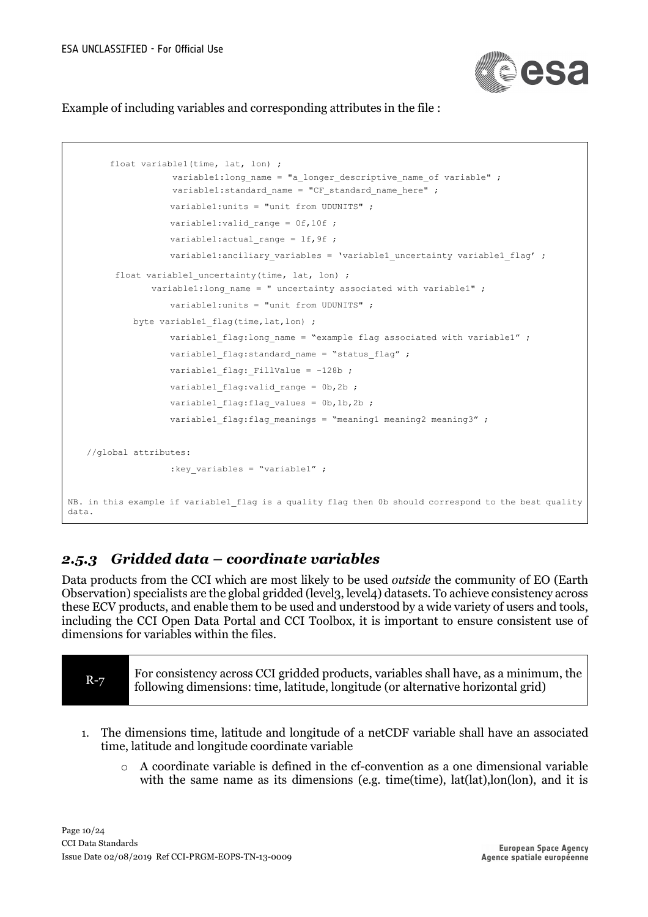

Example of including variables and corresponding attributes in the file :

```
 float variable1(time, lat, lon) ;
                    variable1:long name = "a longer descriptive name of variable" ;
                    variable1:standard name = "CF standard name here" ;
                    variable1:units = "unit from UDUNITS" ;
                    variable1: valid range = 0f,10f ;
                    variable1: actual range = 1f,9f ;
                    variable1:anciliary variables = 'variable1 uncertainty variable1 flag' ;
         float variable1 uncertainty(time, lat, lon) ;
                variable1:long name = " uncertainty associated with variable1" ;
                    variable1:units = "unit from UDUNITS" ;
            byte variable1 flag(time, lat, lon) ;
                     variable1_flag:long_name = "example flag associated with variable1" ;
                    variable1 flag:standard name = "status flag" ;
                    variable1 flag: FillValue = -128b ;
                    variable1 flag:valid range = 0b, 2b ;
                    variable1 flag:flag values = 0b,1b,2b ;
                    variable1 flag:flag meanings = "meaning1 meaning2 meaning3" ;
   //global attributes:
                     :key_variables = "variable1" ;
NB. in this example if variable1 flag is a quality flag then 0b should correspond to the best quality
data.
```
## *2.5.3 Gridded data – coordinate variables*

Data products from the CCI which are most likely to be used *outside* the community of EO (Earth Observation) specialists are the global gridded (level3, level4) datasets. To achieve consistency across these ECV products, and enable them to be used and understood by a wide variety of users and tools, including the CCI Open Data Portal and CCI Toolbox, it is important to ensure consistent use of dimensions for variables within the files.

| $R-7$ | For consistency across CCI gridded products, variables shall have, as a minimum, the<br>following dimensions: time, latitude, longitude (or alternative horizontal grid) |
|-------|--------------------------------------------------------------------------------------------------------------------------------------------------------------------------|
|-------|--------------------------------------------------------------------------------------------------------------------------------------------------------------------------|

- 1. The dimensions time, latitude and longitude of a netCDF variable shall have an associated time, latitude and longitude coordinate variable
	- o A coordinate variable is defined in the cf-convention as a one dimensional variable with the same name as its dimensions (e.g. time(time), lat(lat),lon(lon), and it is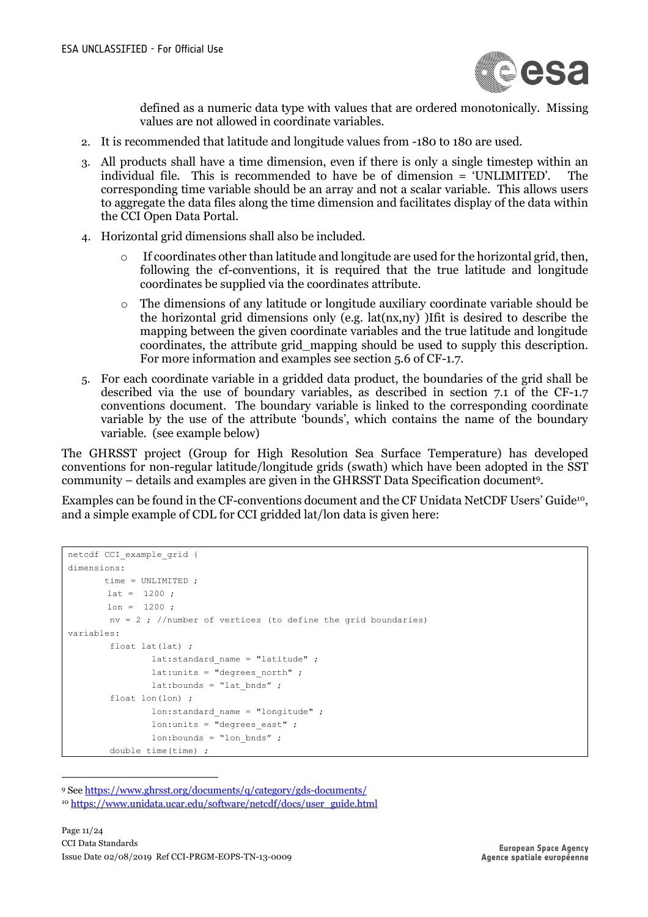

defined as a numeric data type with values that are ordered monotonically. Missing values are not allowed in coordinate variables.

- 2. It is recommended that latitude and longitude values from -180 to 180 are used.
- 3. All products shall have a time dimension, even if there is only a single timestep within an individual file. This is recommended to have be of dimension = 'UNLIMITED'. The corresponding time variable should be an array and not a scalar variable. This allows users to aggregate the data files along the time dimension and facilitates display of the data within the CCI Open Data Portal.
- 4. Horizontal grid dimensions shall also be included.
	- If coordinates other than latitude and longitude are used for the horizontal grid, then, following the cf-conventions, it is required that the true latitude and longitude coordinates be supplied via the coordinates attribute.
	- o The dimensions of any latitude or longitude auxiliary coordinate variable should be the horizontal grid dimensions only (e.g. lat(nx,ny) )Ifit is desired to describe the mapping between the given coordinate variables and the true latitude and longitude coordinates, the attribute grid\_mapping should be used to supply this description. For more information and examples see section 5.6 of CF-1.7.
- 5. For each coordinate variable in a gridded data product, the boundaries of the grid shall be described via the use of boundary variables, as described in section 7.1 of the CF-1.7 conventions document. The boundary variable is linked to the corresponding coordinate variable by the use of the attribute 'bounds', which contains the name of the boundary variable. (see example below)

The GHRSST project (Group for High Resolution Sea Surface Temperature) has developed conventions for non-regular latitude/longitude grids (swath) which have been adopted in the SST community – details and examples are given in the GHRSST Data Specification document9.

Examples can be found in the CF-conventions document and the CF Unidata NetCDF Users' Guide10, and a simple example of CDL for CCI gridded lat/lon data is given here:

```
netcdf CCI_example_grid {
dimensions:
        time = UNLIMITED ;
       lat = 1200;lon = 1200 ;
       nv = 2 ; //number of vertices (to define the grid boundaries)
variables:
        float lat(lat) ;
               lat:standard name = "latitude" ;
                lat:units = "degrees north" ;
               lat: bounds = "lat bnds" ;
         float lon(lon) ;
               lon: standard name = "longitude" ;
               lon:units = "degrees east" ;
               lon:bounds = "lon bnds" ;
         double time(time) ;
```
9 See https://www.ghrsst.org/documents/q/category/gds-documents/

<sup>&</sup>lt;sup>10</sup> https://www.unidata.ucar.edu/software/netcdf/docs/user\_guide.html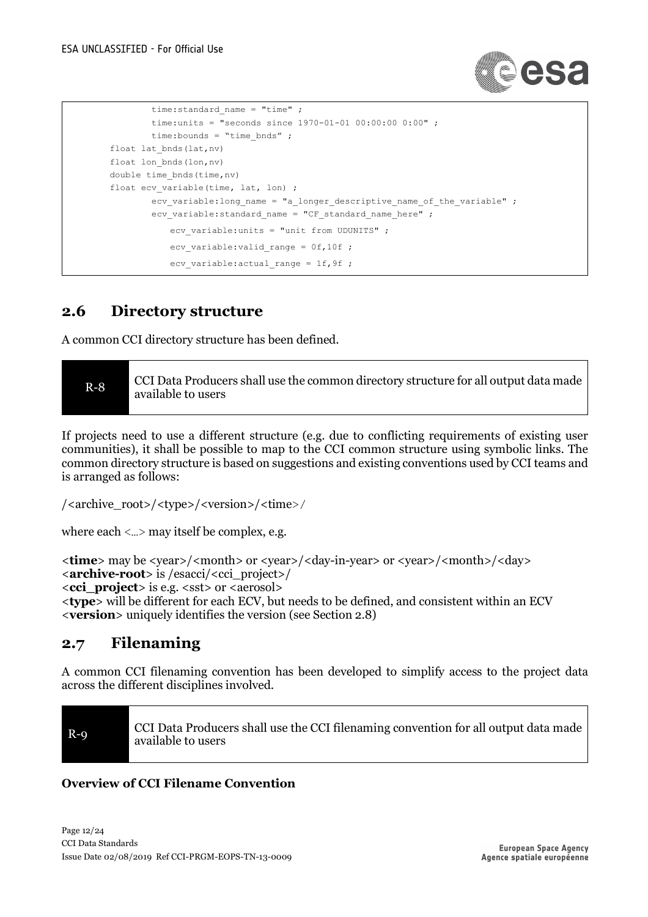

```
time: standard_name = "time" ;
         time:units = "seconds since 1970-01-01 00:00:00 0:00" ;
         time:bounds = "time_bnds" ;
float lat bnds(lat,nv)
float lon bnds(lon,nv)
double time bnds (time, nv)
float ecv variable(time, lat, lon) ;
        ecv variable: long name = "a longer descriptive name of the variable" ;
        ecv variable: standard name = "CF standard name here" ;
            ecv_variable:units = "unit from UDUNITS" ;
            ecv variable:valid range = 0f,10f ;
            ecv variable: actual range = 1f, 9f ;
```
## **2.6 Directory structure**

A common CCI directory structure has been defined.

| $R-8$ | CCI Data Producers shall use the common directory structure for all output data made<br>available to users |
|-------|------------------------------------------------------------------------------------------------------------|
|-------|------------------------------------------------------------------------------------------------------------|

If projects need to use a different structure (e.g. due to conflicting requirements of existing user communities), it shall be possible to map to the CCI common structure using symbolic links. The common directory structure is based on suggestions and existing conventions used by CCI teams and is arranged as follows:

```
/<archive_root>/<type>/<version>/<time>/
```
where each  $\langle \dots \rangle$  may itself be complex, e.g.

```
<time> may be <year>/<month> or <year>/<day-in-year> or <year>/<month>/<day>
<archive-root> is /esacci/<cci_project>/
<cci_project> is e.g. <sst> or <aerosol> 
<type> will be different for each ECV, but needs to be defined, and consistent within an ECV
<version> uniquely identifies the version (see Section 2.8)
```
## **2.7 Filenaming**

A common CCI filenaming convention has been developed to simplify access to the project data across the different disciplines involved.

R-9 CCI Data Producers shall use the CCI filenaming convention for all output data made available to users

#### **Overview of CCI Filename Convention**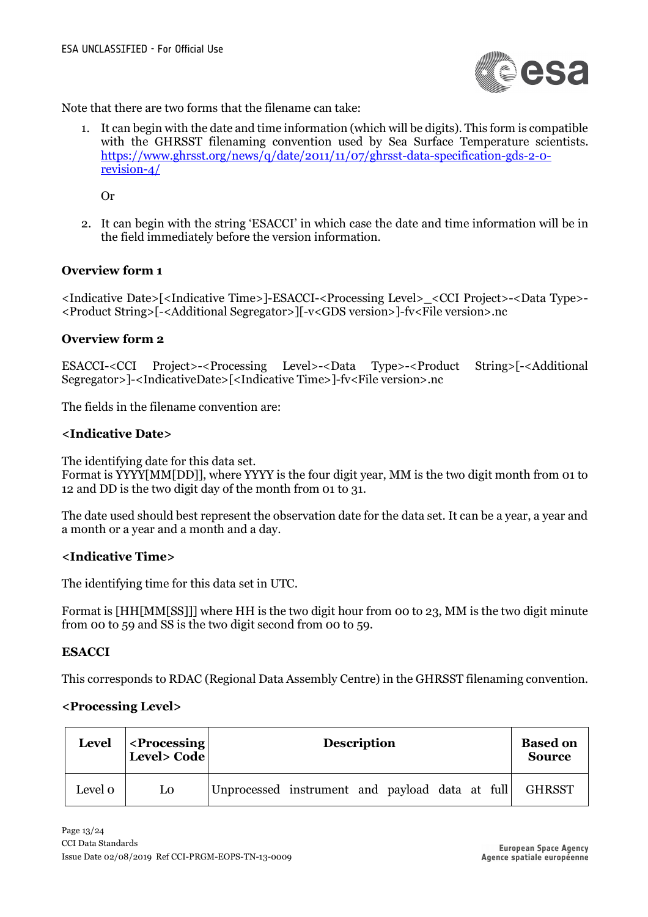

Note that there are two forms that the filename can take:

1. It can begin with the date and time information (which will be digits). This form is compatible with the GHRSST filenaming convention used by Sea Surface Temperature scientists. https://www.ghrsst.org/news/q/date/2011/11/07/ghrsst-data-specification-gds-2-0 revision-4/

Or

2. It can begin with the string 'ESACCI' in which case the date and time information will be in the field immediately before the version information.

#### **Overview form 1**

<Indicative Date>[<Indicative Time>]-ESACCI-<Processing Level>\_<CCI Project>-<Data Type>- <Product String>[-<Additional Segregator>][-v<GDS version>]-fv<File version>.nc

#### **Overview form 2**

ESACCI-<CCI Project>-<Processing Level>-<Data Type>-<Product String>[-<Additional Segregator>]-<IndicativeDate>[<Indicative Time>]-fv<File version>.nc

The fields in the filename convention are:

#### **<Indicative Date>**

The identifying date for this data set.

Format is YYYY[MM[DD]], where YYYY is the four digit year, MM is the two digit month from 01 to 12 and DD is the two digit day of the month from 01 to 31.

The date used should best represent the observation date for the data set. It can be a year, a year and a month or a year and a month and a day.

#### **<Indicative Time>**

The identifying time for this data set in UTC.

Format is [HH[MM[SS]]] where HH is the two digit hour from 00 to 23, MM is the two digit minute from 00 to 59 and SS is the two digit second from 00 to 59.

#### **ESACCI**

This corresponds to RDAC (Regional Data Assembly Centre) in the GHRSST filenaming convention.

#### **<Processing Level>**

| <b>Level</b> | $\leq$ Processing<br>Level> Code | <b>Description</b>                              | <b>Based on</b><br><b>Source</b> |
|--------------|----------------------------------|-------------------------------------------------|----------------------------------|
| Level 0      | L0                               | Unprocessed instrument and payload data at full | <b>GHRSST</b>                    |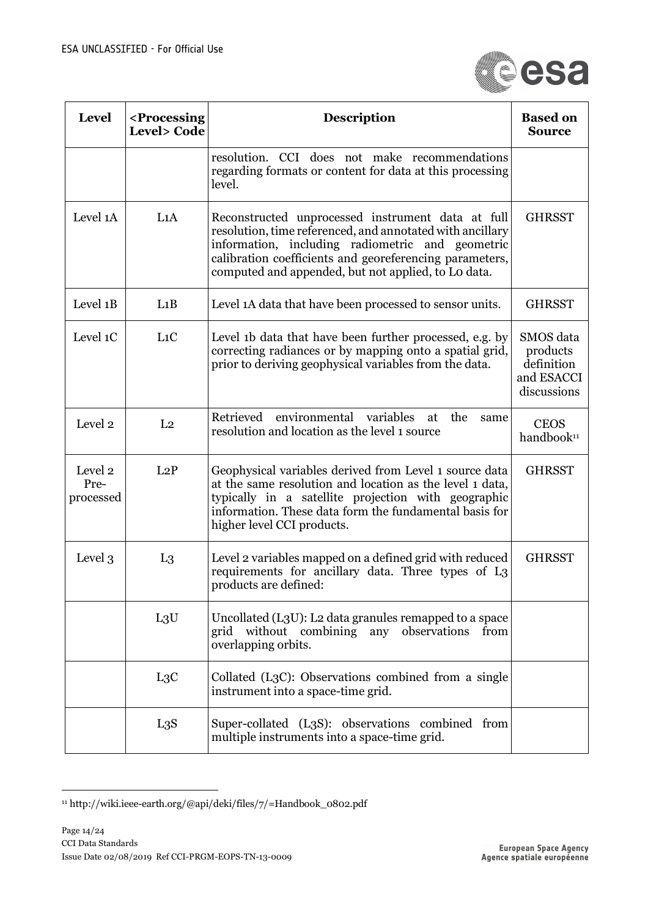

| <b>Level</b>                 | <processing<br><b>Level&gt;</b> Code</processing<br> | <b>Description</b>                                                                                                                                                                                                                                                                   | <b>Based on</b><br><b>Source</b>                                 |
|------------------------------|------------------------------------------------------|--------------------------------------------------------------------------------------------------------------------------------------------------------------------------------------------------------------------------------------------------------------------------------------|------------------------------------------------------------------|
|                              |                                                      | resolution. CCI does not make recommendations<br>regarding formats or content for data at this processing<br>level.                                                                                                                                                                  |                                                                  |
| Level 1A                     | L1A                                                  | Reconstructed unprocessed instrument data at full<br>resolution, time referenced, and annotated with ancillary<br>information, including radiometric and geometric<br>calibration coefficients and georeferencing parameters,<br>computed and appended, but not applied, to Lo data. | <b>GHRSST</b>                                                    |
| Level 1B                     | L1B                                                  | Level 1A data that have been processed to sensor units.                                                                                                                                                                                                                              | <b>GHRSST</b>                                                    |
| Level 1C                     | L <sub>1</sub> C                                     | Level 1b data that have been further processed, e.g. by<br>correcting radiances or by mapping onto a spatial grid,<br>prior to deriving geophysical variables from the data.                                                                                                         | SMOS data<br>products<br>definition<br>and ESACCI<br>discussions |
| Level 2                      | L <sub>2</sub>                                       | environmental variables<br>Retrieved<br>the<br>at<br>same<br>resolution and location as the level 1 source                                                                                                                                                                           | <b>CEOS</b><br>handbook <sup>11</sup>                            |
| Level 2<br>Pre-<br>processed | L2P                                                  | Geophysical variables derived from Level 1 source data<br>at the same resolution and location as the level 1 data,<br>typically in a satellite projection with geographic<br>information. These data form the fundamental basis for<br>higher level CCI products.                    | <b>GHRSST</b>                                                    |
| Level 3                      | $L_3$                                                | Level 2 variables mapped on a defined grid with reduced<br>requirements for ancillary data. Three types of L3<br>products are defined:                                                                                                                                               | <b>GHRSST</b>                                                    |
|                              | $L_3U$                                               | Uncollated (L3U): L2 data granules remapped to a space<br>grid without combining any observations<br>from<br>overlapping orbits.                                                                                                                                                     |                                                                  |
|                              | L3C                                                  | Collated (L3C): Observations combined from a single<br>instrument into a space-time grid.                                                                                                                                                                                            |                                                                  |
|                              | L3S                                                  | Super-collated (L3S): observations combined from<br>multiple instruments into a space-time grid.                                                                                                                                                                                     |                                                                  |

 $^{\rm 11}\rm$ ttp://wiki.ieee-earth.org/@api/deki/files/7/=Handbook\_0802.pdf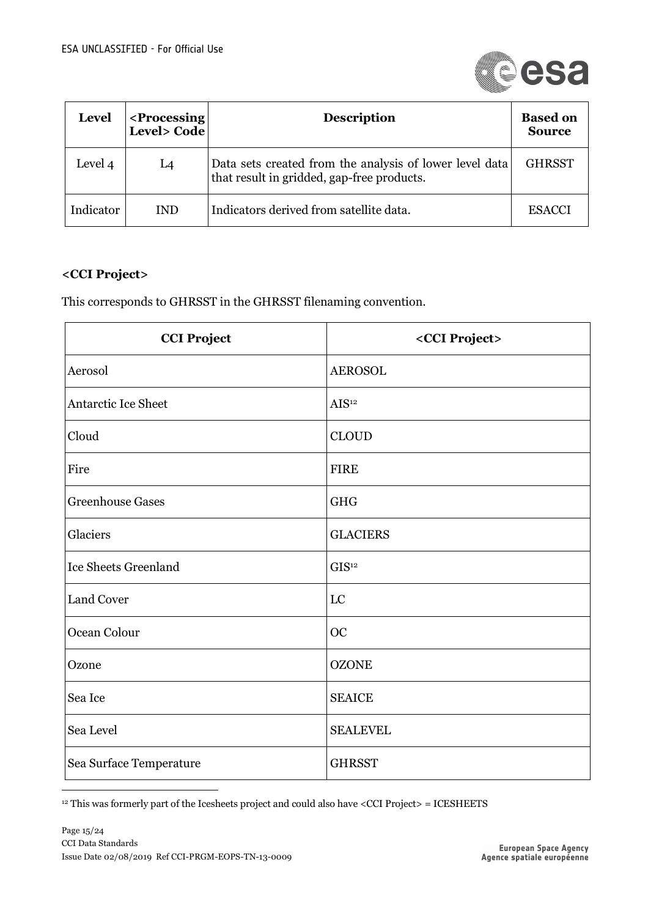

| <b>Level</b> | <processing<br>Level&gt; Code</processing<br> | <b>Description</b>                                                                                    | <b>Based on</b><br><b>Source</b> |
|--------------|-----------------------------------------------|-------------------------------------------------------------------------------------------------------|----------------------------------|
| Level 4      | L4                                            | Data sets created from the analysis of lower level data<br>that result in gridded, gap-free products. | <b>GHRSST</b>                    |
| Indicator    | <b>IND</b>                                    | Indicators derived from satellite data.                                                               | <b>ESACCI</b>                    |

#### **<CCI Project>**

This corresponds to GHRSST in the GHRSST filenaming convention.

| <b>CCI Project</b>          | <cci project=""></cci> |
|-----------------------------|------------------------|
| Aerosol                     | <b>AEROSOL</b>         |
| Antarctic Ice Sheet         | AIS <sup>12</sup>      |
| Cloud                       | <b>CLOUD</b>           |
| Fire                        | <b>FIRE</b>            |
| <b>Greenhouse Gases</b>     | <b>GHG</b>             |
| Glaciers                    | <b>GLACIERS</b>        |
| <b>Ice Sheets Greenland</b> | GIS <sup>12</sup>      |
| <b>Land Cover</b>           | LC                     |
| Ocean Colour                | <b>OC</b>              |
| Ozone                       | <b>OZONE</b>           |
| Sea Ice                     | <b>SEAICE</b>          |
| Sea Level                   | <b>SEALEVEL</b>        |
| Sea Surface Temperature     | <b>GHRSST</b>          |

 $12$  This was formerly part of the Icesheets project and could also have <CCI Project> = ICESHEETS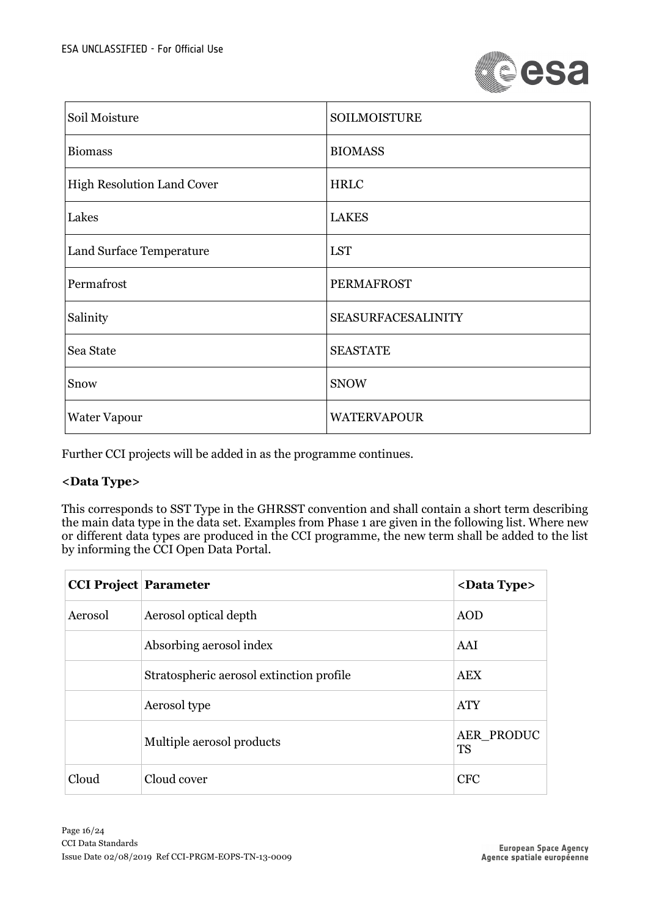

| Soil Moisture                     | <b>SOILMOISTURE</b>       |
|-----------------------------------|---------------------------|
| <b>Biomass</b>                    | <b>BIOMASS</b>            |
| <b>High Resolution Land Cover</b> | <b>HRLC</b>               |
| Lakes                             | <b>LAKES</b>              |
| Land Surface Temperature          | <b>LST</b>                |
| Permafrost                        | <b>PERMAFROST</b>         |
| Salinity                          | <b>SEASURFACESALINITY</b> |
| Sea State                         | <b>SEASTATE</b>           |
| Snow                              | <b>SNOW</b>               |
| <b>Water Vapour</b>               | <b>WATERVAPOUR</b>        |

Further CCI projects will be added in as the programme continues.

#### **<Data Type>**

This corresponds to SST Type in the GHRSST convention and shall contain a short term describing the main data type in the data set. Examples from Phase 1 are given in the following list. Where new or different data types are produced in the CCI programme, the new term shall be added to the list by informing the CCI Open Data Portal.

| <b>CCI Project Parameter</b> |                                          | <data type=""></data>   |
|------------------------------|------------------------------------------|-------------------------|
| Aerosol                      | Aerosol optical depth                    | <b>AOD</b>              |
|                              | Absorbing aerosol index                  | AAI                     |
|                              | Stratospheric aerosol extinction profile | <b>AEX</b>              |
|                              | Aerosol type                             | <b>ATY</b>              |
|                              | Multiple aerosol products                | AER PRODUC<br><b>TS</b> |
| Cloud                        | Cloud cover                              | <b>CFC</b>              |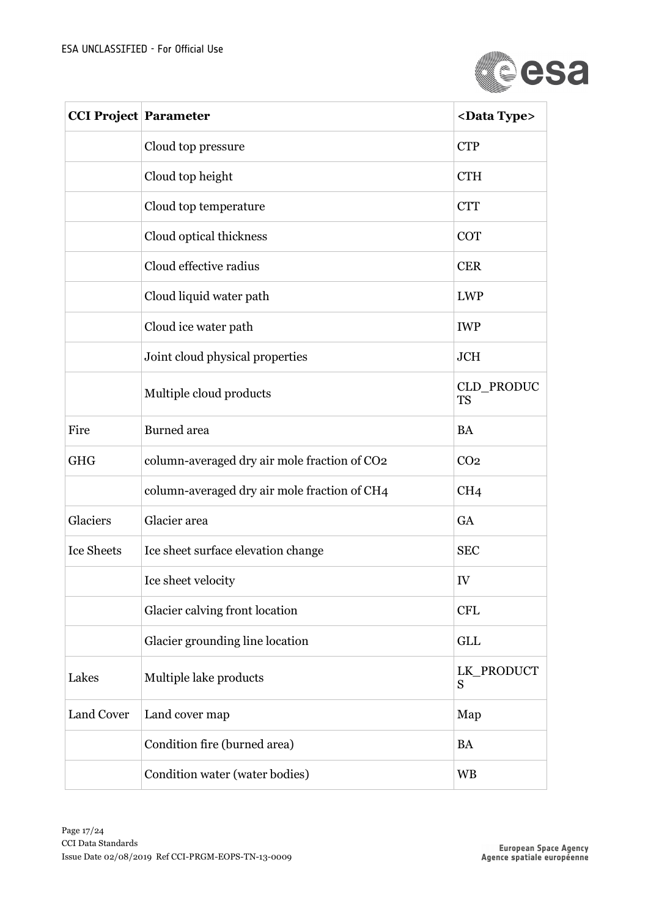

| <b>CCI Project Parameter</b> |                                              | <data type=""></data>   |
|------------------------------|----------------------------------------------|-------------------------|
|                              | Cloud top pressure                           | <b>CTP</b>              |
|                              | Cloud top height                             | <b>CTH</b>              |
|                              | Cloud top temperature                        | <b>CTT</b>              |
|                              | Cloud optical thickness                      | <b>COT</b>              |
|                              | Cloud effective radius                       | <b>CER</b>              |
|                              | Cloud liquid water path                      | <b>LWP</b>              |
|                              | Cloud ice water path                         | <b>IWP</b>              |
|                              | Joint cloud physical properties              | <b>JCH</b>              |
|                              | Multiple cloud products                      | CLD PRODUC<br><b>TS</b> |
| Fire                         | <b>Burned</b> area                           | <b>BA</b>               |
| <b>GHG</b>                   | column-averaged dry air mole fraction of CO2 | CO <sub>2</sub>         |
|                              | column-averaged dry air mole fraction of CH4 | CH <sub>4</sub>         |
| Glaciers                     | Glacier area                                 | <b>GA</b>               |
| <b>Ice Sheets</b>            | Ice sheet surface elevation change           | <b>SEC</b>              |
|                              | Ice sheet velocity                           | IV                      |
|                              | Glacier calving front location               | <b>CFL</b>              |
|                              | Glacier grounding line location              | <b>GLL</b>              |
| Lakes                        | Multiple lake products                       | LK PRODUCT<br>S         |
| Land Cover                   | Land cover map                               | Map                     |
|                              | Condition fire (burned area)                 | <b>BA</b>               |
|                              | Condition water (water bodies)               | <b>WB</b>               |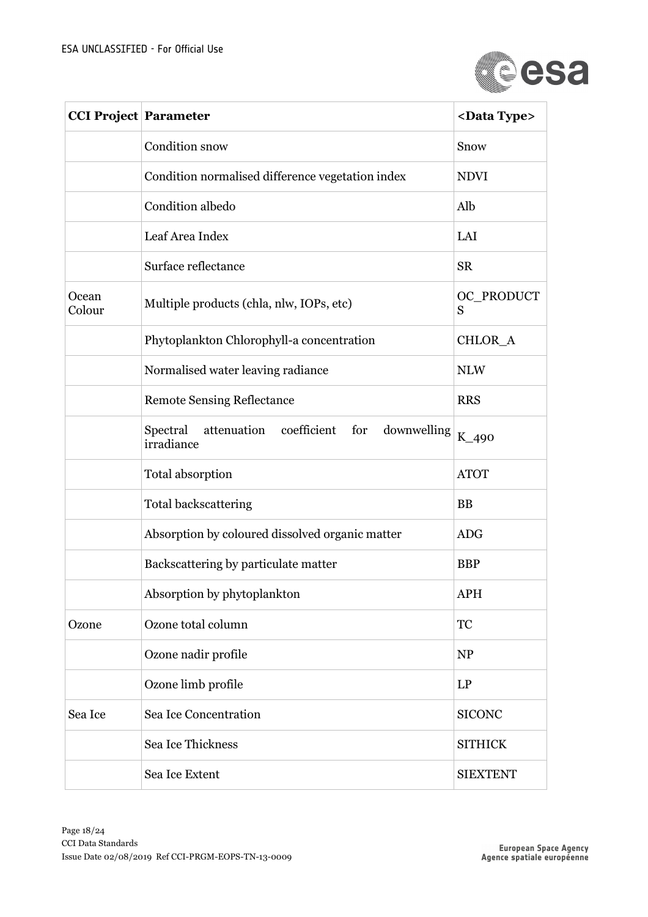

| <b>CCI Project Parameter</b> |                                                                      | <data type=""></data> |
|------------------------------|----------------------------------------------------------------------|-----------------------|
|                              | Condition snow                                                       | Snow                  |
|                              | Condition normalised difference vegetation index                     | <b>NDVI</b>           |
|                              | Condition albedo                                                     | Alb                   |
|                              | Leaf Area Index                                                      | LAI                   |
|                              | Surface reflectance                                                  | <b>SR</b>             |
| Ocean<br>Colour              | Multiple products (chla, nlw, IOPs, etc)                             | OC_PRODUCT<br>S       |
|                              | Phytoplankton Chlorophyll-a concentration                            | CHLOR A               |
|                              | Normalised water leaving radiance                                    | <b>NLW</b>            |
|                              | <b>Remote Sensing Reflectance</b>                                    | <b>RRS</b>            |
|                              | attenuation coefficient for<br>Spectral<br>downwelling<br>irradiance | K_490                 |
|                              | Total absorption                                                     | <b>ATOT</b>           |
|                              | <b>Total backscattering</b>                                          | <b>BB</b>             |
|                              | Absorption by coloured dissolved organic matter                      | <b>ADG</b>            |
|                              | Backscattering by particulate matter                                 | <b>BBP</b>            |
|                              | Absorption by phytoplankton                                          | <b>APH</b>            |
| Ozone                        | Ozone total column                                                   | <b>TC</b>             |
|                              | Ozone nadir profile                                                  | <b>NP</b>             |
|                              | Ozone limb profile                                                   | LP                    |
| Sea Ice                      | Sea Ice Concentration                                                | <b>SICONC</b>         |
|                              | Sea Ice Thickness                                                    | <b>SITHICK</b>        |
|                              | Sea Ice Extent                                                       | <b>SIEXTENT</b>       |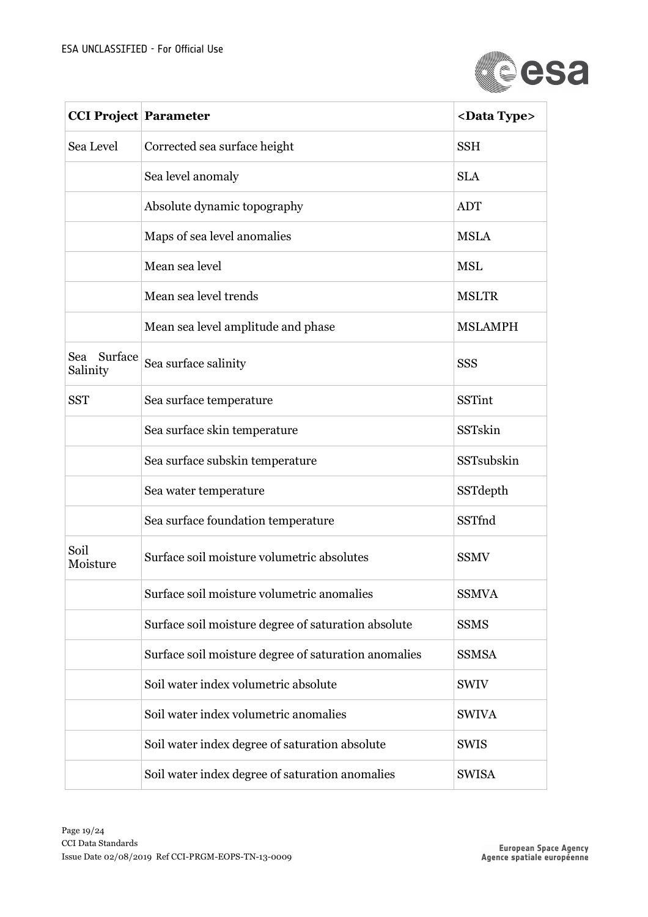

| <b>CCI Project Parameter</b> |                                                      | <data type=""></data> |
|------------------------------|------------------------------------------------------|-----------------------|
| Sea Level                    | Corrected sea surface height                         | <b>SSH</b>            |
|                              | Sea level anomaly                                    | <b>SLA</b>            |
|                              | Absolute dynamic topography                          | <b>ADT</b>            |
|                              | Maps of sea level anomalies                          | <b>MSLA</b>           |
|                              | Mean sea level                                       | <b>MSL</b>            |
|                              | Mean sea level trends                                | <b>MSLTR</b>          |
|                              | Mean sea level amplitude and phase                   | <b>MSLAMPH</b>        |
| Sea Surface<br>Salinity      | Sea surface salinity                                 | <b>SSS</b>            |
| <b>SST</b>                   | Sea surface temperature                              | <b>SSTint</b>         |
|                              | Sea surface skin temperature                         | SSTskin               |
|                              | Sea surface subskin temperature                      | SSTsubskin            |
|                              | Sea water temperature                                | SSTdepth              |
|                              | Sea surface foundation temperature                   | SSTfnd                |
| Soil<br>Moisture             | Surface soil moisture volumetric absolutes           | <b>SSMV</b>           |
|                              | Surface soil moisture volumetric anomalies           | <b>SSMVA</b>          |
|                              | Surface soil moisture degree of saturation absolute  | <b>SSMS</b>           |
|                              | Surface soil moisture degree of saturation anomalies | <b>SSMSA</b>          |
|                              | Soil water index volumetric absolute                 | <b>SWIV</b>           |
|                              | Soil water index volumetric anomalies                | <b>SWIVA</b>          |
|                              | Soil water index degree of saturation absolute       | <b>SWIS</b>           |
|                              | Soil water index degree of saturation anomalies      | <b>SWISA</b>          |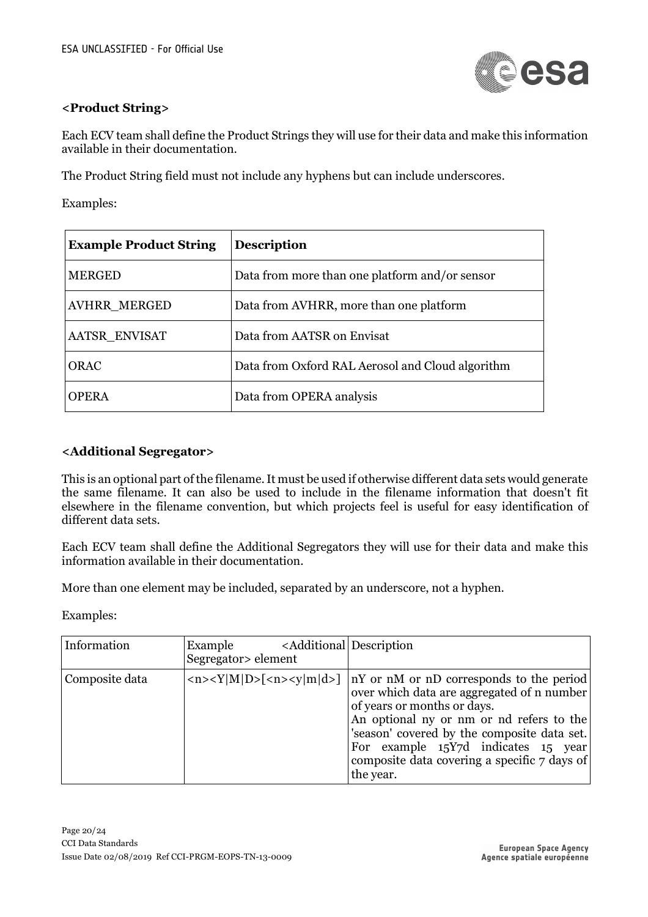

#### **<Product String>**

Each ECV team shall define the Product Strings they will use for their data and make this information available in their documentation.

The Product String field must not include any hyphens but can include underscores.

Examples:

| <b>Example Product String</b> | <b>Description</b>                               |
|-------------------------------|--------------------------------------------------|
| <b>MERGED</b>                 | Data from more than one platform and/or sensor   |
| <b>AVHRR_MERGED</b>           | Data from AVHRR, more than one platform          |
| AATSR ENVISAT                 | Data from AATSR on Envisat                       |
| <b>ORAC</b>                   | Data from Oxford RAL Aerosol and Cloud algorithm |
| <b>OPERA</b>                  | Data from OPERA analysis                         |

#### **<Additional Segregator>**

This is an optional part of the filename. It must be used if otherwise different data sets would generate the same filename. It can also be used to include in the filename information that doesn't fit elsewhere in the filename convention, but which projects feel is useful for easy identification of different data sets.

Each ECV team shall define the Additional Segregators they will use for their data and make this information available in their documentation.

More than one element may be included, separated by an underscore, not a hyphen.

Examples:

| Information    | <additional description<br="">Example<br/>Segregator&gt; element</additional> |                                                                                                                                                                                                                                                                                                                                                                                                              |
|----------------|-------------------------------------------------------------------------------|--------------------------------------------------------------------------------------------------------------------------------------------------------------------------------------------------------------------------------------------------------------------------------------------------------------------------------------------------------------------------------------------------------------|
| Composite data |                                                                               | $\langle n \rangle \langle Y M D\rangle$ $\langle n \rangle \langle y m d\rangle$   nY or nM or nD corresponds to the period<br>over which data are aggregated of n number<br>of years or months or days.<br>An optional ny or nm or nd refers to the<br>'season' covered by the composite data set.<br>For example $15Y7d$ indicates $15$ year<br>composite data covering a specific 7 days of<br>the year. |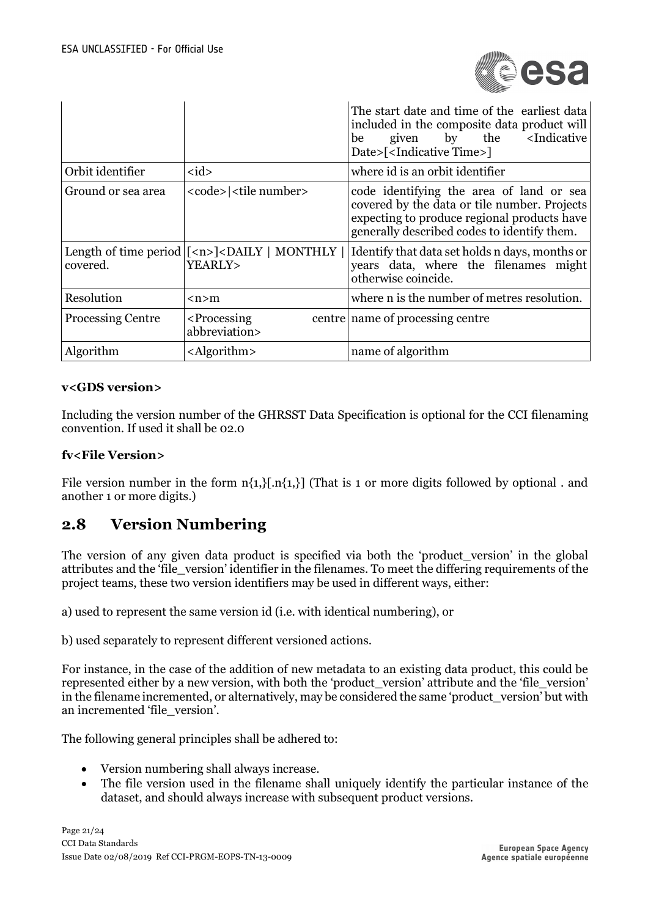

|                          |                                                                                                                                         | The start date and time of the earliest data<br>included in the composite data product will<br>given by the <indicative<br>be<br/>Date&gt;[<indicative time="">]</indicative></indicative<br> |
|--------------------------|-----------------------------------------------------------------------------------------------------------------------------------------|-----------------------------------------------------------------------------------------------------------------------------------------------------------------------------------------------|
| Orbit identifier         | $<$ id $>$                                                                                                                              | where id is an orbit identifier                                                                                                                                                               |
| Ground or sea area       | <code>   <tile number=""></tile></code>                                                                                                 | code identifying the area of land or sea<br>covered by the data or tile number. Projects<br>expecting to produce regional products have<br>generally described codes to identify them.        |
| covered.                 | Length of time period $\lfloor$ <n><math>\rfloor</math> <daily <math="">\lfloor MONTHLY <math>\lfloor</math><br/>YEARLY&gt;</daily></n> | Identify that data set holds n days, months or<br>years data, where the filenames might<br>otherwise coincide.                                                                                |
| Resolution               | $\langle n \rangle$ m                                                                                                                   | where n is the number of metres resolution.                                                                                                                                                   |
| <b>Processing Centre</b> | <processing<br>abbreviation&gt;</processing<br>                                                                                         | centre name of processing centre                                                                                                                                                              |
| Algorithm                | $\langle$ Algorithm>                                                                                                                    | name of algorithm                                                                                                                                                                             |

#### **v<GDS version>**

Including the version number of the GHRSST Data Specification is optional for the CCI filenaming convention. If used it shall be 02.0

#### **fv<File Version>**

File version number in the form  $n\{1, \}$ [.n{1,}] (That is 1 or more digits followed by optional . and another 1 or more digits.)

## **2.8 Version Numbering**

The version of any given data product is specified via both the 'product version' in the global attributes and the 'file\_version' identifier in the filenames. To meet the differing requirements of the project teams, these two version identifiers may be used in different ways, either:

a) used to represent the same version id (i.e. with identical numbering), or

b) used separately to represent different versioned actions.

For instance, in the case of the addition of new metadata to an existing data product, this could be represented either by a new version, with both the 'product\_version' attribute and the 'file\_version' in the filename incremented, or alternatively, may be considered the same 'product\_version' but with an incremented 'file\_version'.

The following general principles shall be adhered to:

- Version numbering shall always increase.
- The file version used in the filename shall uniquely identify the particular instance of the dataset, and should always increase with subsequent product versions.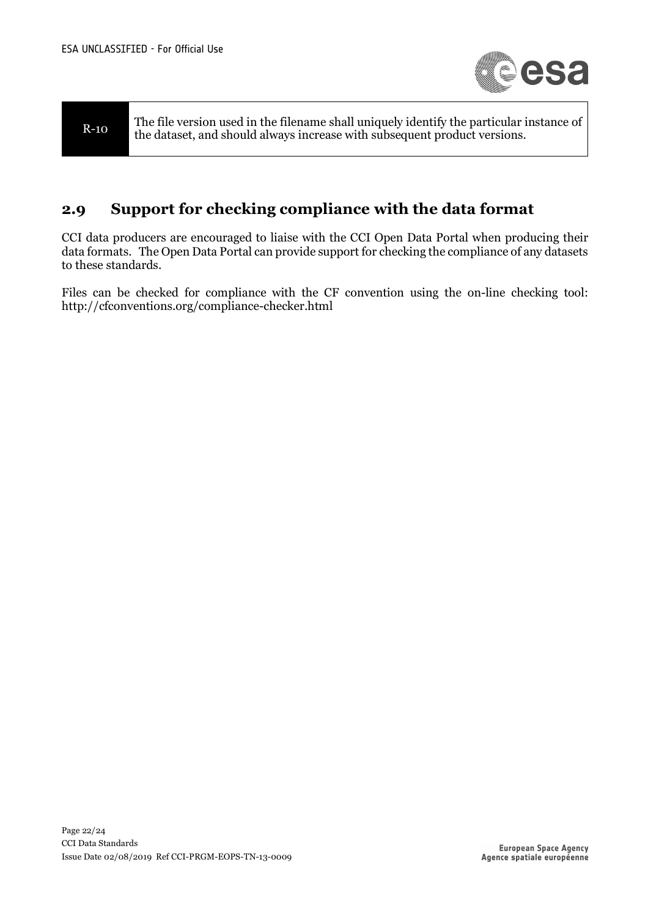

R-10 The file version used in the filename shall uniquely identify the particular instance of the dataset, and should always increase with subsequent product versions.

## **2.9 Support for checking compliance with the data format**

CCI data producers are encouraged to liaise with the CCI Open Data Portal when producing their data formats. The Open Data Portal can provide support for checking the compliance of any datasets to these standards.

Files can be checked for compliance with the CF convention using the on-line checking tool: http://cfconventions.org/compliance-checker.html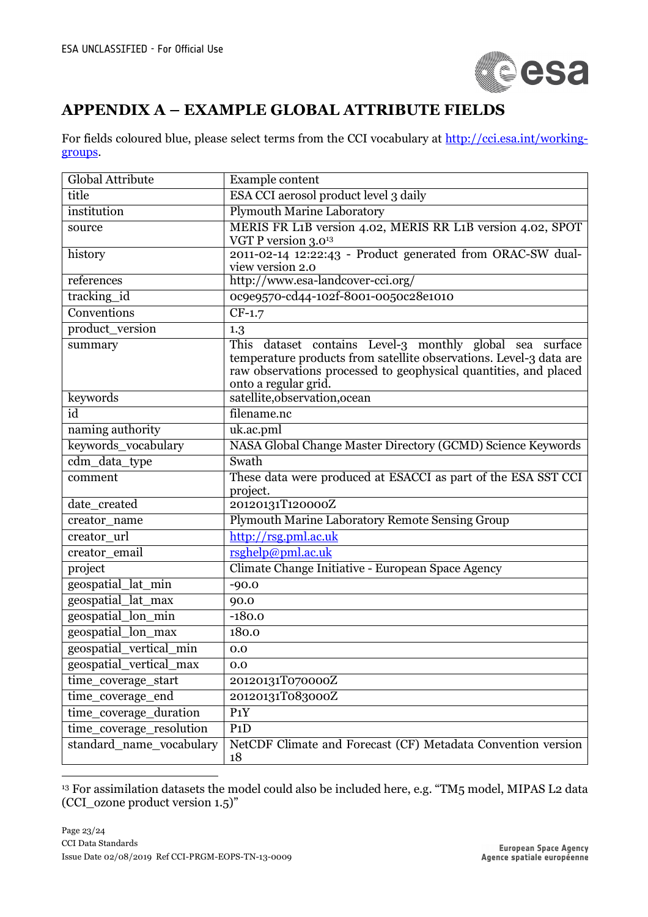

## **APPENDIX A – EXAMPLE GLOBAL ATTRIBUTE FIELDS**

For fields coloured blue, please select terms from the CCI vocabulary at http://cci.esa.int/workinggroups.

| Global Attribute         | Example content                                                                                                                                                                                                            |
|--------------------------|----------------------------------------------------------------------------------------------------------------------------------------------------------------------------------------------------------------------------|
| title                    | ESA CCI aerosol product level 3 daily                                                                                                                                                                                      |
| institution              | <b>Plymouth Marine Laboratory</b>                                                                                                                                                                                          |
| source                   | MERIS FR L1B version 4.02, MERIS RR L1B version 4.02, SPOT<br>VGT P version $3.0^{13}$                                                                                                                                     |
| history                  | 2011-02-14 12:22:43 - Product generated from ORAC-SW dual-<br>view version 2.0                                                                                                                                             |
| references               | http://www.esa-landcover-cci.org/                                                                                                                                                                                          |
| tracking_id              | 0c9e9570-cd44-102f-8001-0050c28e1010                                                                                                                                                                                       |
| Conventions              | $CF-1.7$                                                                                                                                                                                                                   |
| product_version          | 1.3                                                                                                                                                                                                                        |
| summary                  | This dataset contains Level-3 monthly global sea surface<br>temperature products from satellite observations. Level-3 data are<br>raw observations processed to geophysical quantities, and placed<br>onto a regular grid. |
| keywords                 | satellite, observation, ocean                                                                                                                                                                                              |
| id                       | filename.nc                                                                                                                                                                                                                |
| naming authority         | uk.ac.pml                                                                                                                                                                                                                  |
| keywords_vocabulary      | NASA Global Change Master Directory (GCMD) Science Keywords                                                                                                                                                                |
| cdm_data_type            | Swath                                                                                                                                                                                                                      |
| comment                  | These data were produced at ESACCI as part of the ESA SST CCI<br>project.                                                                                                                                                  |
| date_created             | 20120131T120000Z                                                                                                                                                                                                           |
| creator_name             | Plymouth Marine Laboratory Remote Sensing Group                                                                                                                                                                            |
| creator_url              | http://rsg.pml.ac.uk                                                                                                                                                                                                       |
| creator_email            | rsghelp@pml.ac.uk                                                                                                                                                                                                          |
| project                  | Climate Change Initiative - European Space Agency                                                                                                                                                                          |
| geospatial_lat_min       | $-90.0$                                                                                                                                                                                                                    |
| geospatial_lat_max       | 90.0                                                                                                                                                                                                                       |
| geospatial_lon_min       | $-180.0$                                                                                                                                                                                                                   |
| geospatial_lon_max       | 180.0                                                                                                                                                                                                                      |
| geospatial_vertical_min  | 0.0                                                                                                                                                                                                                        |
| geospatial_vertical_max  | 0.0                                                                                                                                                                                                                        |
| time_coverage_start      | 20120131T070000Z                                                                                                                                                                                                           |
| time_coverage_end        | 20120131T083000Z                                                                                                                                                                                                           |
| time_coverage_duration   | $P_1Y$                                                                                                                                                                                                                     |
| time_coverage_resolution | P1D                                                                                                                                                                                                                        |
| standard_name_vocabulary | NetCDF Climate and Forecast (CF) Metadata Convention version<br>18                                                                                                                                                         |

<sup>13</sup> For assimilation datasets the model could also be included here, e.g. "TM5 model, MIPAS L2 data (CCI\_ozone product version 1.5)"